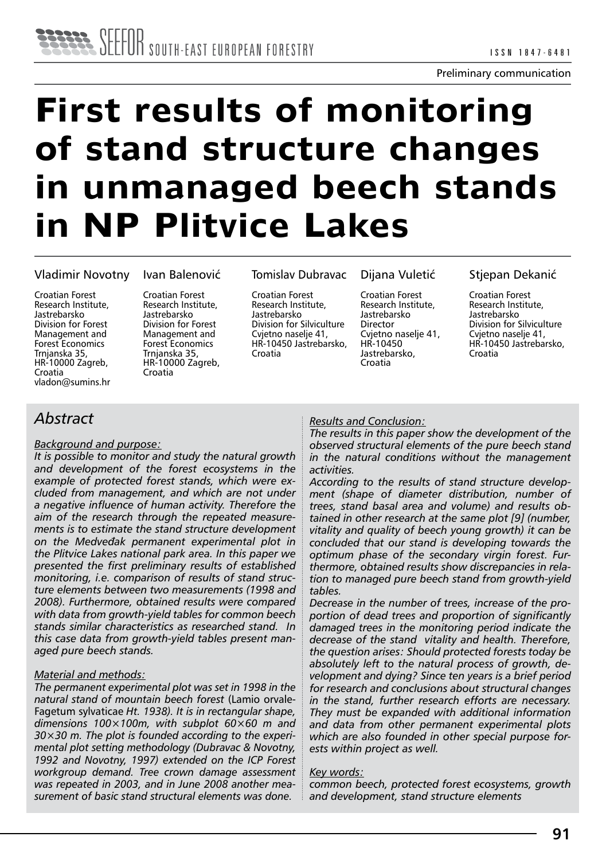# **First results of monitoring of stand structure changes in unmanaged beech stands in NP Plitvice Lakes**

#### Vladimir Novotny

Ivan Balenović

Croatian Forest Research Institute, Jastrebarsko Division for Forest Management and Forest Economics Trnjanska 35, HR-10000 Zagreb, Croatia vladon@sumins.hr

Croatian Forest Research Institute, Jastrebarsko Division for Forest Management and Forest Economics Trnjanska 35, HR-10000 Zagreb, Croatia

Tomislav Dubravac

Croatian Forest Research Institute, Jastrebarsko Division for Silviculture Cvjetno naselje 41, HR-10450 Jastrebarsko, Croatia

Dijana Vuletić

Croatian Forest Research Institute, Jastrebarsko **Director** Cvjetno naselje 41, HR-10450 Jastrebarsko, Croatia

Stjepan Dekanić

Croatian Forest Research Institute, Jastrebarsko Division for Silviculture Cvjetno naselje 41, HR-10450 Jastrebarsko, Croatia

## *Abstract*

#### *Background and purpose:*

*It is possible to monitor and study the natural growth and development of the forest ecosystems in the example of protected forest stands, which were excluded from management, and which are not under a negative influence of human activity. Therefore the aim of the research through the repeated measurements is to estimate the stand structure development on the Medveđak permanent experimental plot in the Plitvice Lakes national park area. In this paper we presented the first preliminary results of established monitoring, i.e. comparison of results of stand structure elements between two measurements (1998 and 2008). Furthermore, obtained results were compared with data from growth-yield tables for common beech stands similar characteristics as researched stand. In this case data from growth-yield tables present managed pure beech stands.*

#### *Material and methods:*

*The permanent experimental plot was set in 1998 in the natural stand of mountain beech forest* (Lamio orvale-Fagetum sylvaticae *Ht. 1938). It is in rectangular shape, dimensions 100×100m, with subplot 60×60 m and 30×30 m. The plot is founded according to the experimental plot setting methodology (Dubravac & Novotny, 1992 and Novotny, 1997) extended on the ICP Forest workgroup demand. Tree crown damage assessment was repeated in 2003, and in June 2008 another measurement of basic stand structural elements was done.*

#### *Results and Conclusion:*

*The results in this paper show the development of the observed structural elements of the pure beech stand in the natural conditions without the management activities.* 

*According to the results of stand structure development (shape of diameter distribution, number of trees, stand basal area and volume) and results obtained in other research at the same plot [9] (number, vitality and quality of beech young growth) it can be concluded that our stand is developing towards the optimum phase of the secondary virgin forest. Furthermore, obtained results show discrepancies in relation to managed pure beech stand from growth-yield tables.* 

*Decrease in the number of trees, increase of the proportion of dead trees and proportion of significantly damaged trees in the monitoring period indicate the decrease of the stand vitality and health. Therefore, the question arises: Should protected forests today be absolutely left to the natural process of growth, development and dying? Since ten years is a brief period for research and conclusions about structural changes in the stand, further research efforts are necessary. They must be expanded with additional information and data from other permanent experimental plots which are also founded in other special purpose forests within project as well.* 

#### *Key words:*

*common beech, protected forest ecosystems, growth and development, stand structure elements*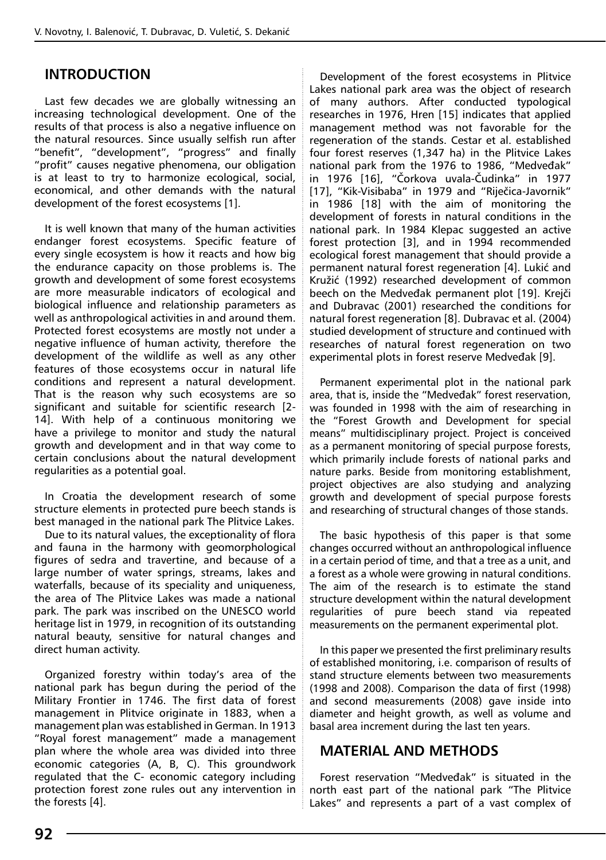## **INTRODUCTION**

Last few decades we are globally witnessing an increasing technological development. One of the results of that process is also a negative influence on the natural resources. Since usually selfish run after "benefit", "development", "progress" and finally "profit" causes negative phenomena, our obligation is at least to try to harmonize ecological, social, economical, and other demands with the natural development of the forest ecosystems [1].

It is well known that many of the human activities endanger forest ecosystems. Specific feature of every single ecosystem is how it reacts and how big the endurance capacity on those problems is. The growth and development of some forest ecosystems are more measurable indicators of ecological and biological influence and relationship parameters as well as anthropological activities in and around them. Protected forest ecosystems are mostly not under a negative influence of human activity, therefore the development of the wildlife as well as any other features of those ecosystems occur in natural life conditions and represent a natural development. That is the reason why such ecosystems are so significant and suitable for scientific research [2- 14]. With help of a continuous monitoring we have a privilege to monitor and study the natural growth and development and in that way come to certain conclusions about the natural development regularities as a potential goal.

In Croatia the development research of some structure elements in protected pure beech stands is best managed in the national park The Plitvice Lakes.

Due to its natural values, the exceptionality of flora and fauna in the harmony with geomorphological figures of sedra and travertine, and because of a large number of water springs, streams, lakes and waterfalls, because of its speciality and uniqueness, the area of The Plitvice Lakes was made a national park. The park was inscribed on the UNESCO world heritage list in 1979, in recognition of its outstanding natural beauty, sensitive for natural changes and direct human activity.

Organized forestry within today's area of the national park has begun during the period of the Military Frontier in 1746. The first data of forest management in Plitvice originate in 1883, when a management plan was established in German. In 1913 "Royal forest management" made a management plan where the whole area was divided into three economic categories (A, B, C). This groundwork regulated that the C- economic category including protection forest zone rules out any intervention in the forests [4].

Development of the forest ecosystems in Plitvice Lakes national park area was the object of research of many authors. After conducted typological researches in 1976, Hren [15] indicates that applied management method was not favorable for the regeneration of the stands. Cestar et al. established four forest reserves (1,347 ha) in the Plitvice Lakes national park from the 1976 to 1986, "Medveđak" in 1976 [16], "Čorkova uvala-Čudinka" in 1977 [17], "Kik-Visibaba" in 1979 and "Riječica-Javornik" in 1986 [18] with the aim of monitoring the development of forests in natural conditions in the national park. In 1984 Klepac suggested an active forest protection [3], and in 1994 recommended ecological forest management that should provide a permanent natural forest regeneration [4]. Lukić and Kružić (1992) researched development of common beech on the Medveđak permanent plot [19]. Krejči and Dubravac (2001) researched the conditions for natural forest regeneration [8]. Dubravac et al. (2004) studied development of structure and continued with researches of natural forest regeneration on two experimental plots in forest reserve Medveđak [9].

Permanent experimental plot in the national park area, that is, inside the "Medveđak" forest reservation, was founded in 1998 with the aim of researching in the "Forest Growth and Development for special means" multidisciplinary project. Project is conceived as a permanent monitoring of special purpose forests, which primarily include forests of national parks and nature parks. Beside from monitoring establishment, project objectives are also studying and analyzing growth and development of special purpose forests and researching of structural changes of those stands.

The basic hypothesis of this paper is that some changes occurred without an anthropological influence in a certain period of time, and that a tree as a unit, and a forest as a whole were growing in natural conditions. The aim of the research is to estimate the stand structure development within the natural development regularities of pure beech stand via repeated measurements on the permanent experimental plot.

In this paper we presented the first preliminary results of established monitoring, i.e. comparison of results of stand structure elements between two measurements (1998 and 2008). Comparison the data of first (1998) and second measurements (2008) gave inside into diameter and height growth, as well as volume and basal area increment during the last ten years.

### **MATERIAL AND METHODS**

Forest reservation "Medveđak" is situated in the north east part of the national park "The Plitvice Lakes" and represents a part of a vast complex of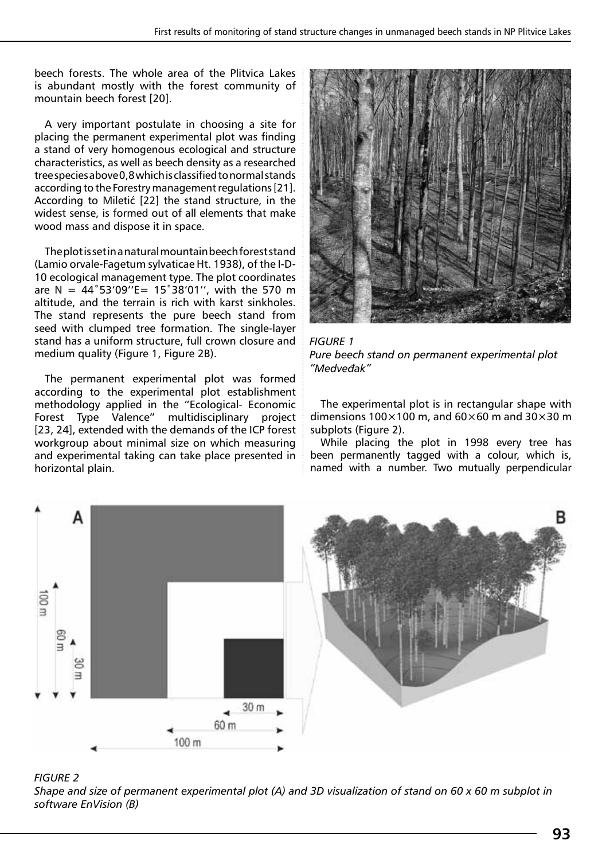beech forests. The whole area of the Plitvica Lakes is abundant mostly with the forest community of mountain beech forest [20].

A very important postulate in choosing a site for placing the permanent experimental plot was finding a stand of very homogenous ecological and structure characteristics, as well as beech density as a researched tree species above 0,8 which is classified to normal stands according to the Forestry management regulations [21]. According to Miletić [22] the stand structure, in the widest sense, is formed out of all elements that make wood mass and dispose it in space.

The plot is set in a natural mountain beech forest stand (Lamio orvale-Fagetum sylvaticae Ht. 1938), of the I-D-10 ecological management type. The plot coordinates are N =  $44^{\circ}53'09''E= 15^{\circ}38'01''$ , with the 570 m altitude, and the terrain is rich with karst sinkholes. The stand represents the pure beech stand from seed with clumped tree formation. The single-layer stand has a uniform structure, full crown closure and medium quality (Figure 1, Figure 2B).

The permanent experimental plot was formed according to the experimental plot establishment methodology applied in the "Ecological- Economic Forest Type Valence" multidisciplinary project [23, 24], extended with the demands of the ICP forest workgroup about minimal size on which measuring and experimental taking can take place presented in horizontal plain.



*Figure 1 Pure beech stand on permanent experimental plot "Medveđak"*

The experimental plot is in rectangular shape with dimensions 100 $\times$ 100 m, and 60 $\times$ 60 m and 30 $\times$ 30 m subplots (Figure 2).

While placing the plot in 1998 every tree has been permanently tagged with a colour, which is, named with a number. Two mutually perpendicular



#### *Figure 2*

*Shape and size of permanent experimental plot (A) and 3D visualization of stand on 60 x 60 m subplot in software EnVision (B)*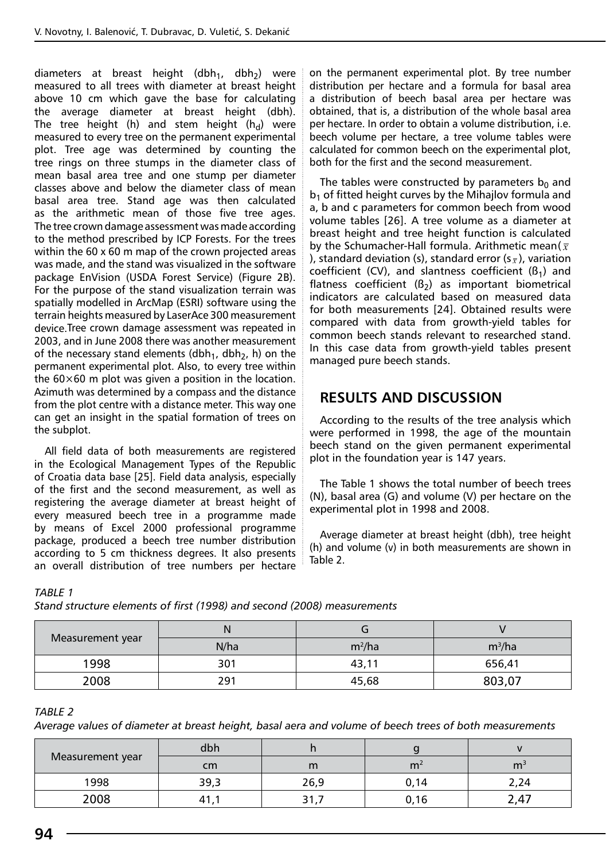diameters at breast height (dbh<sub>1</sub>, dbh<sub>2</sub>) were measured to all trees with diameter at breast height above 10 cm which gave the base for calculating the average diameter at breast height (dbh). The tree height (h) and stem height ( $h_d$ ) were measured to every tree on the permanent experimental plot. Tree age was determined by counting the tree rings on three stumps in the diameter class of mean basal area tree and one stump per diameter classes above and below the diameter class of mean basal area tree. Stand age was then calculated as the arithmetic mean of those five tree ages. The tree crown damage assessment was made according to the method prescribed by ICP Forests. For the trees within the 60 x 60 m map of the crown projected areas was made, and the stand was visualized in the software package EnVision (USDA Forest Service) (Figure 2B). For the purpose of the stand visualization terrain was spatially modelled in ArcMap (ESRI) software using the terrain heights measured by LaserAce 300 measurement device.Tree crown damage assessment was repeated in 2003, and in June 2008 there was another measurement of the necessary stand elements (dbh<sub>1</sub>, dbh<sub>2</sub>, h) on the permanent experimental plot. Also, to every tree within the  $60\times60$  m plot was given a position in the location. Azimuth was determined by a compass and the distance from the plot centre with a distance meter. This way one can get an insight in the spatial formation of trees on the subplot.

All field data of both measurements are registered in the Ecological Management Types of the Republic of Croatia data base [25]. Field data analysis, especially of the first and the second measurement, as well as registering the average diameter at breast height of every measured beech tree in a programme made by means of Excel 2000 professional programme package, produced a beech tree number distribution according to 5 cm thickness degrees. It also presents an overall distribution of tree numbers per hectare on the permanent experimental plot. By tree number distribution per hectare and a formula for basal area a distribution of beech basal area per hectare was obtained, that is, a distribution of the whole basal area per hectare. In order to obtain a volume distribution, i.e. beech volume per hectare, a tree volume tables were calculated for common beech on the experimental plot, both for the first and the second measurement.

The tables were constructed by parameters  $b_0$  and  $b<sub>1</sub>$  of fitted height curves by the Mihajlov formula and a, b and c parameters for common beech from wood volume tables [26]. A tree volume as a diameter at breast height and tree height function is calculated by the Schumacher-Hall formula. Arithmetic mean( *x* ), standard deviation (s), standard error  $(s_{\bar{x}})$ , variation coefficient (CV), and slantness coefficient ( $\beta_1$ ) and flatness coefficient  $(B_2)$  as important biometrical indicators are calculated based on measured data for both measurements [24]. Obtained results were compared with data from growth-yield tables for common beech stands relevant to researched stand. In this case data from growth-yield tables present managed pure beech stands.

## **RESULTS AND DISCUSSION**

According to the results of the tree analysis which were performed in 1998, the age of the mountain beech stand on the given permanent experimental plot in the foundation year is 147 years.

The Table 1 shows the total number of beech trees (N), basal area (G) and volume (V) per hectare on the experimental plot in 1998 and 2008.

Average diameter at breast height (dbh), tree height (h) and volume (v) in both measurements are shown in Table 2.

#### *TABLE 1*

*Stand structure elements of first (1998) and second (2008) measurements* 

| Measurement year |      |          |          |
|------------------|------|----------|----------|
|                  | N/ha | $m^2/ha$ | $m^3/ha$ |
| 1998             | 301  | 43.11    | 656.41   |
| 2008             | 291  | 45.68    | 803,07   |

#### *TABLE 2*

*Average values of diameter at breast height, basal aera and volume of beech trees of both measurements*

| Measurement year | dbh    |      |                |                |
|------------------|--------|------|----------------|----------------|
|                  | cm     | m    | m <sup>2</sup> | m <sup>3</sup> |
| 1998             | 39,3   | 26,9 | 0.14           |                |
| 2008             | TI . I | ،    | 0,16           | 2.47           |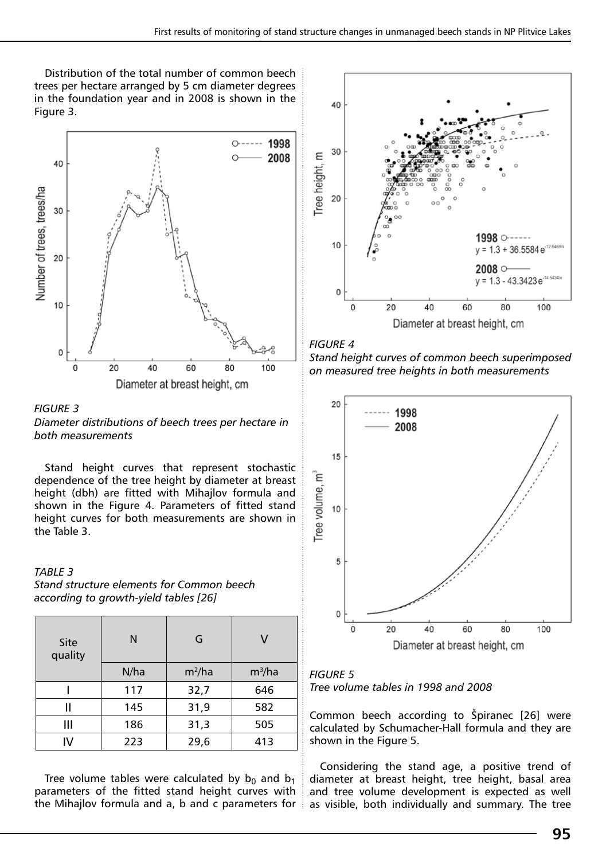Distribution of the total number of common beech trees per hectare arranged by 5 cm diameter degrees in the foundation year and in 2008 is shown in the Figure 3.





*Diameter distributions of beech trees per hectare in both measurements*

Stand height curves that represent stochastic dependence of the tree height by diameter at breast height (dbh) are fitted with Mihajlov formula and shown in the Figure 4. Parameters of fitted stand height curves for both measurements are shown in the Table 3.

#### *TABLE 3*

*Stand structure elements for Common beech according to growth-yield tables [26]*

| Site<br>quality | N                | G    | V        |  |
|-----------------|------------------|------|----------|--|
|                 | N/ha<br>$m^2/ha$ |      | $m^3/ha$ |  |
|                 | 117              | 32,7 | 646      |  |
| II              | 145              | 31,9 | 582      |  |
| Ш               | 186              | 31,3 | 505      |  |
|                 | 223              | 29,6 | 413      |  |

Tree volume tables were calculated by  $b_0$  and  $b_1$ parameters of the fitted stand height curves with the Mihajlov formula and a, b and c parameters for ÷



#### *FIGURE 4*

*Stand height curves of common beech superimposed on measured tree heights in both measurements* 



*FIGURE 5 Tree volume tables in 1998 and 2008*

Common beech according to Špiranec [26] were calculated by Schumacher-Hall formula and they are shown in the Figure 5.

Considering the stand age, a positive trend of diameter at breast height, tree height, basal area and tree volume development is expected as well as visible, both individually and summary. The tree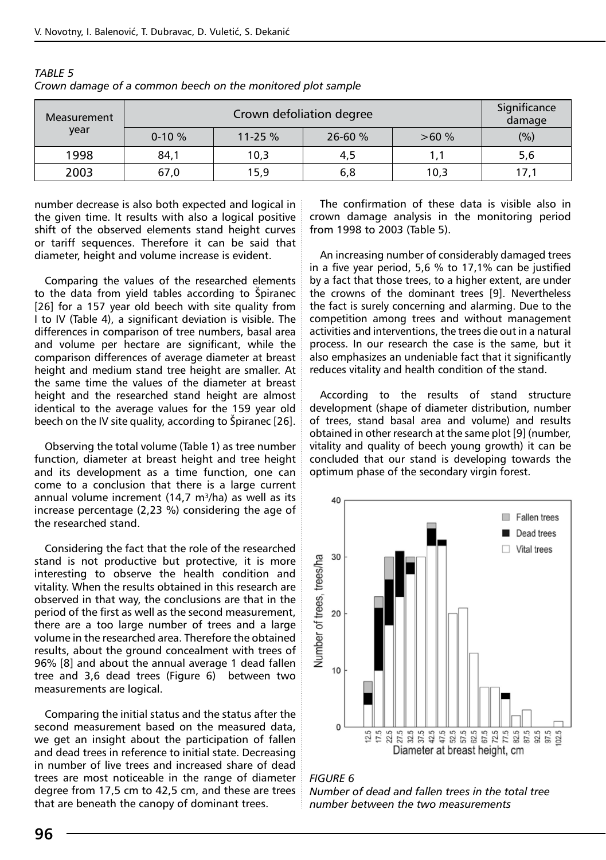*TABLE 5* 

| Measurement<br>year |           | Significance<br>damage |         |      |      |
|---------------------|-----------|------------------------|---------|------|------|
|                     | $0-10 \%$ | $11 - 25%$             | 26-60 % | >60% | (%)  |
| 1998                | 84,1      | 10,3                   | 4,5     |      | 5,6  |
| 2003                | 67,0      | 15,9                   | 6,8     | 10,3 | 17,1 |

| IADLE J                                                     |  |
|-------------------------------------------------------------|--|
| Crown damage of a common beech on the monitored plot sample |  |

number decrease is also both expected and logical in the given time. It results with also a logical positive shift of the observed elements stand height curves or tariff sequences. Therefore it can be said that diameter, height and volume increase is evident.

Comparing the values of the researched elements to the data from yield tables according to Špiranec [26] for a 157 year old beech with site quality from I to IV (Table 4), a significant deviation is visible. The differences in comparison of tree numbers, basal area and volume per hectare are significant, while the comparison differences of average diameter at breast height and medium stand tree height are smaller. At the same time the values of the diameter at breast height and the researched stand height are almost identical to the average values for the 159 year old beech on the IV site quality, according to Špiranec [26].

Observing the total volume (Table 1) as tree number function, diameter at breast height and tree height and its development as a time function, one can come to a conclusion that there is a large current annual volume increment (14,7  $m^3/ha$ ) as well as its increase percentage (2,23 %) considering the age of the researched stand.

Considering the fact that the role of the researched stand is not productive but protective, it is more interesting to observe the health condition and vitality. When the results obtained in this research are observed in that way, the conclusions are that in the period of the first as well as the second measurement, there are a too large number of trees and a large volume in the researched area. Therefore the obtained results, about the ground concealment with trees of 96% [8] and about the annual average 1 dead fallen tree and 3,6 dead trees (Figure 6) between two measurements are logical.

Comparing the initial status and the status after the second measurement based on the measured data, we get an insight about the participation of fallen and dead trees in reference to initial state. Decreasing in number of live trees and increased share of dead trees are most noticeable in the range of diameter degree from 17,5 cm to 42,5 cm, and these are trees that are beneath the canopy of dominant trees.

The confirmation of these data is visible also in crown damage analysis in the monitoring period from 1998 to 2003 (Table 5).

An increasing number of considerably damaged trees in a five year period, 5,6 % to 17,1% can be justified by a fact that those trees, to a higher extent, are under the crowns of the dominant trees [9]. Nevertheless the fact is surely concerning and alarming. Due to the competition among trees and without management activities and interventions, the trees die out in a natural process. In our research the case is the same, but it also emphasizes an undeniable fact that it significantly reduces vitality and health condition of the stand.

According to the results of stand structure development (shape of diameter distribution, number of trees, stand basal area and volume) and results obtained in other research at the same plot [9] (number, vitality and quality of beech young growth) it can be concluded that our stand is developing towards the optimum phase of the secondary virgin forest.



*FIGURE 6*

*Number of dead and fallen trees in the total tree number between the two measurements*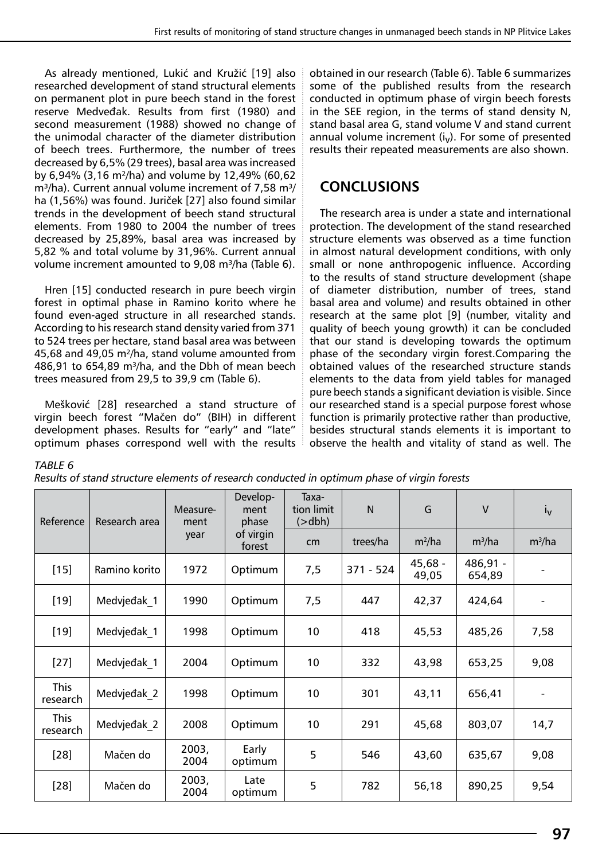As already mentioned, Lukić and Kružić [19] also researched development of stand structural elements on permanent plot in pure beech stand in the forest reserve Medveđak. Results from first (1980) and second measurement (1988) showed no change of the unimodal character of the diameter distribution of beech trees. Furthermore, the number of trees decreased by 6,5% (29 trees), basal area was increased by 6,94% (3,16 m²/ha) and volume by 12,49% (60,62  $m^3/ha$ ). Current annual volume increment of 7,58 m<sup>3</sup>/ ha (1,56%) was found. Juriček [27] also found similar trends in the development of beech stand structural elements. From 1980 to 2004 the number of trees decreased by 25,89%, basal area was increased by 5,82 % and total volume by 31,96%. Current annual volume increment amounted to 9,08 m<sup>3</sup>/ha (Table 6).

Hren [15] conducted research in pure beech virgin forest in optimal phase in Ramino korito where he found even-aged structure in all researched stands. According to his research stand density varied from 371 to 524 trees per hectare, stand basal area was between 45,68 and 49,05 m²/ha, stand volume amounted from 486,91 to 654,89  $m^3/ha$ , and the Dbh of mean beech trees measured from 29,5 to 39,9 cm (Table 6).

Mešković [28] researched a stand structure of virgin beech forest "Mačen do" (BIH) in different development phases. Results for "early" and "late" optimum phases correspond well with the results

obtained in our research (Table 6). Table 6 summarizes some of the published results from the research conducted in optimum phase of virgin beech forests in the SEE region, in the terms of stand density N, stand basal area G, stand volume V and stand current annual volume increment  $(i_1)$ . For some of presented results their repeated measurements are also shown.

## **CONCLUSIONS**

The research area is under a state and international protection. The development of the stand researched structure elements was observed as a time function in almost natural development conditions, with only small or none anthropogenic influence. According to the results of stand structure development (shape of diameter distribution, number of trees, stand basal area and volume) and results obtained in other research at the same plot [9] (number, vitality and quality of beech young growth) it can be concluded that our stand is developing towards the optimum phase of the secondary virgin forest.Comparing the obtained values of the researched structure stands elements to the data from yield tables for managed pure beech stands a significant deviation is visible. Since our researched stand is a special purpose forest whose function is primarily protective rather than productive, besides structural stands elements it is important to observe the health and vitality of stand as well. The

#### *TABLE 6*

| Results of stand structure elements of research conducted in optimum phase of virgin forests |  |  |  |
|----------------------------------------------------------------------------------------------|--|--|--|
|                                                                                              |  |  |  |

| Research area<br>Reference | Measure-<br>ment | Develop-<br>ment<br>phase | Taxa-<br>tion limit<br>(>dbh) | N   | G         | $\vee$             | $I_V$              |          |
|----------------------------|------------------|---------------------------|-------------------------------|-----|-----------|--------------------|--------------------|----------|
|                            |                  | year                      | of virgin<br>forest           | cm  | trees/ha  | $m^2/ha$           | $m^3/ha$           | $m^3/ha$ |
| $[15]$                     | Ramino korito    | 1972                      | Optimum                       | 7,5 | 371 - 524 | $45,68 -$<br>49,05 | 486,91 -<br>654,89 |          |
| $[19]$                     | Medvjeđak 1      | 1990                      | Optimum                       | 7,5 | 447       | 42,37              | 424,64             |          |
| $[19]$                     | Medvjeđak 1      | 1998                      | Optimum                       | 10  | 418       | 45,53              | 485,26             | 7,58     |
| $[27]$                     | Medvjeđak 1      | 2004                      | Optimum                       | 10  | 332       | 43,98              | 653,25             | 9,08     |
| <b>This</b><br>research    | Medvjeđak 2      | 1998                      | Optimum                       | 10  | 301       | 43,11              | 656,41             |          |
| <b>This</b><br>research    | Medvjeđak 2      | 2008                      | Optimum                       | 10  | 291       | 45,68              | 803,07             | 14,7     |
| $[28]$                     | Mačen do         | 2003,<br>2004             | Early<br>optimum              | 5   | 546       | 43,60              | 635,67             | 9,08     |
| $[28]$                     | Mačen do         | 2003,<br>2004             | Late<br>optimum               | 5   | 782       | 56,18              | 890,25             | 9,54     |